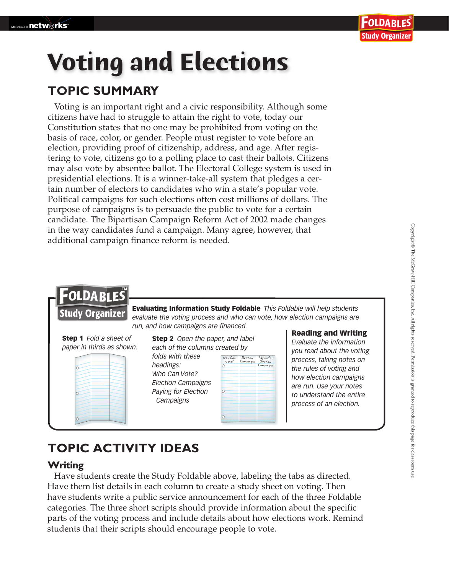# **Voting and Elections**

## **TOPIC SUMMARY**

Voting is an important right and a civic responsibility. Although some citizens have had to struggle to attain the right to vote, today our Constitution states that no one may be prohibited from voting on the basis of race, color, or gender. People must register to vote before an election, providing proof of citizenship, address, and age. After registering to vote, citizens go to a polling place to cast their ballots. Citizens may also vote by absentee ballot. The Electoral College system is used in presidential elections. It is a winner-take-all system that pledges a certain number of electors to candidates who win a state's popular vote. Political campaigns for such elections often cost millions of dollars. The purpose of campaigns is to persuade the public to vote for a certain candidate. The Bipartisan Campaign Reform Act of 2002 made changes in the way candidates fund a campaign. Many agree, however, that additional campaign finance reform is needed.





Step 2 *Open the paper, and label each of the columns created by*

*folds with these headings: Who Can Vote? Election Campaigns Paying for Election Campaigns*

| Who Can<br>Vote? | Election<br>Campaigns | Paying for<br>Election |
|------------------|-----------------------|------------------------|
|                  |                       | Campaigns              |
|                  |                       |                        |
|                  |                       |                        |
|                  |                       |                        |
|                  |                       |                        |
|                  |                       |                        |
|                  |                       |                        |
|                  |                       |                        |
|                  |                       |                        |

#### Reading and Writing

*Evaluate the information you read about the voting process, taking notes on the rules of voting and how election campaigns are run. Use your notes to understand the entire process of an election.*

## **TOPIC ACTIVITY IDEAS**

### **Writing**

 Have students create the Study Foldable above, labeling the tabs as directed. Have them list details in each column to create a study sheet on voting. Then have students write a public service announcement for each of the three Foldable categories. The three short scripts should provide information about the specific parts of the voting process and include details about how elections work. Remind students that their scripts should encourage people to vote.